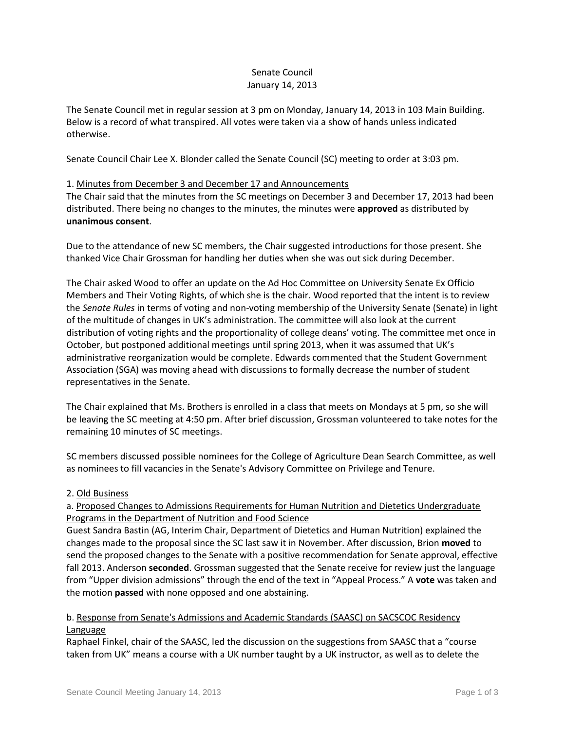## Senate Council January 14, 2013

The Senate Council met in regular session at 3 pm on Monday, January 14, 2013 in 103 Main Building. Below is a record of what transpired. All votes were taken via a show of hands unless indicated otherwise.

Senate Council Chair Lee X. Blonder called the Senate Council (SC) meeting to order at 3:03 pm.

#### 1. Minutes from December 3 and December 17 and Announcements

The Chair said that the minutes from the SC meetings on December 3 and December 17, 2013 had been distributed. There being no changes to the minutes, the minutes were **approved** as distributed by **unanimous consent**.

Due to the attendance of new SC members, the Chair suggested introductions for those present. She thanked Vice Chair Grossman for handling her duties when she was out sick during December.

The Chair asked Wood to offer an update on the Ad Hoc Committee on University Senate Ex Officio Members and Their Voting Rights, of which she is the chair. Wood reported that the intent is to review the *Senate Rules* in terms of voting and non-voting membership of the University Senate (Senate) in light of the multitude of changes in UK's administration. The committee will also look at the current distribution of voting rights and the proportionality of college deans' voting. The committee met once in October, but postponed additional meetings until spring 2013, when it was assumed that UK's administrative reorganization would be complete. Edwards commented that the Student Government Association (SGA) was moving ahead with discussions to formally decrease the number of student representatives in the Senate.

The Chair explained that Ms. Brothers is enrolled in a class that meets on Mondays at 5 pm, so she will be leaving the SC meeting at 4:50 pm. After brief discussion, Grossman volunteered to take notes for the remaining 10 minutes of SC meetings.

SC members discussed possible nominees for the College of Agriculture Dean Search Committee, as well as nominees to fill vacancies in the Senate's Advisory Committee on Privilege and Tenure.

## 2. Old Business

a. Proposed Changes to Admissions Requirements for Human Nutrition and Dietetics Undergraduate Programs in the Department of Nutrition and Food Science

Guest Sandra Bastin (AG, Interim Chair, Department of Dietetics and Human Nutrition) explained the changes made to the proposal since the SC last saw it in November. After discussion, Brion **moved** to send the proposed changes to the Senate with a positive recommendation for Senate approval, effective fall 2013. Anderson **seconded**. Grossman suggested that the Senate receive for review just the language from "Upper division admissions" through the end of the text in "Appeal Process." A **vote** was taken and the motion **passed** with none opposed and one abstaining.

## b. Response from Senate's Admissions and Academic Standards (SAASC) on SACSCOC Residency Language

Raphael Finkel, chair of the SAASC, led the discussion on the suggestions from SAASC that a "course taken from UK" means a course with a UK number taught by a UK instructor, as well as to delete the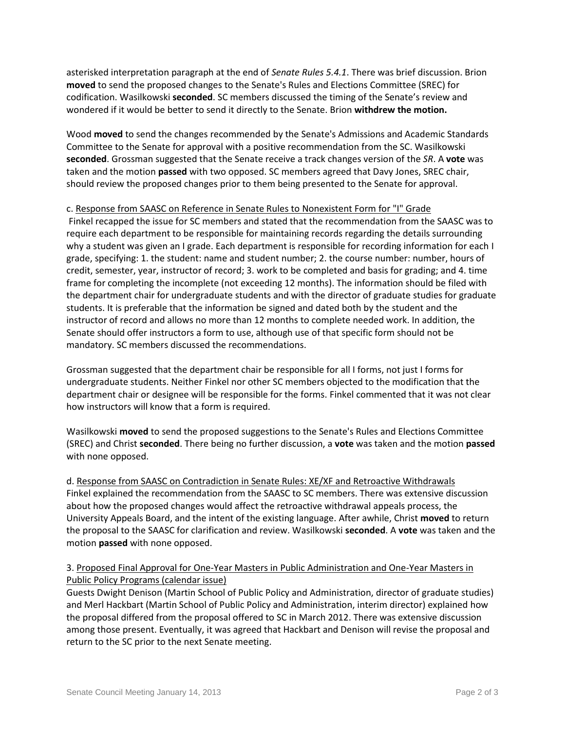asterisked interpretation paragraph at the end of *Senate Rules 5.4.1*. There was brief discussion. Brion **moved** to send the proposed changes to the Senate's Rules and Elections Committee (SREC) for codification. Wasilkowski **seconded**. SC members discussed the timing of the Senate's review and wondered if it would be better to send it directly to the Senate. Brion **withdrew the motion.** 

Wood **moved** to send the changes recommended by the Senate's Admissions and Academic Standards Committee to the Senate for approval with a positive recommendation from the SC. Wasilkowski **seconded**. Grossman suggested that the Senate receive a track changes version of the *SR*. A **vote** was taken and the motion **passed** with two opposed. SC members agreed that Davy Jones, SREC chair, should review the proposed changes prior to them being presented to the Senate for approval.

## c. Response from SAASC on Reference in Senate Rules to Nonexistent Form for "I" Grade

Finkel recapped the issue for SC members and stated that the recommendation from the SAASC was to require each department to be responsible for maintaining records regarding the details surrounding why a student was given an I grade. Each department is responsible for recording information for each I grade, specifying: 1. the student: name and student number; 2. the course number: number, hours of credit, semester, year, instructor of record; 3. work to be completed and basis for grading; and 4. time frame for completing the incomplete (not exceeding 12 months). The information should be filed with the department chair for undergraduate students and with the director of graduate studies for graduate students. It is preferable that the information be signed and dated both by the student and the instructor of record and allows no more than 12 months to complete needed work. In addition, the Senate should offer instructors a form to use, although use of that specific form should not be mandatory. SC members discussed the recommendations.

Grossman suggested that the department chair be responsible for all I forms, not just I forms for undergraduate students. Neither Finkel nor other SC members objected to the modification that the department chair or designee will be responsible for the forms. Finkel commented that it was not clear how instructors will know that a form is required.

Wasilkowski **moved** to send the proposed suggestions to the Senate's Rules and Elections Committee (SREC) and Christ **seconded**. There being no further discussion, a **vote** was taken and the motion **passed** with none opposed.

d. Response from SAASC on Contradiction in Senate Rules: XE/XF and Retroactive Withdrawals Finkel explained the recommendation from the SAASC to SC members. There was extensive discussion about how the proposed changes would affect the retroactive withdrawal appeals process, the University Appeals Board, and the intent of the existing language. After awhile, Christ **moved** to return the proposal to the SAASC for clarification and review. Wasilkowski **seconded**. A **vote** was taken and the motion **passed** with none opposed.

# 3. Proposed Final Approval for One-Year Masters in Public Administration and One-Year Masters in Public Policy Programs (calendar issue)

Guests Dwight Denison (Martin School of Public Policy and Administration, director of graduate studies) and Merl Hackbart (Martin School of Public Policy and Administration, interim director) explained how the proposal differed from the proposal offered to SC in March 2012. There was extensive discussion among those present. Eventually, it was agreed that Hackbart and Denison will revise the proposal and return to the SC prior to the next Senate meeting.